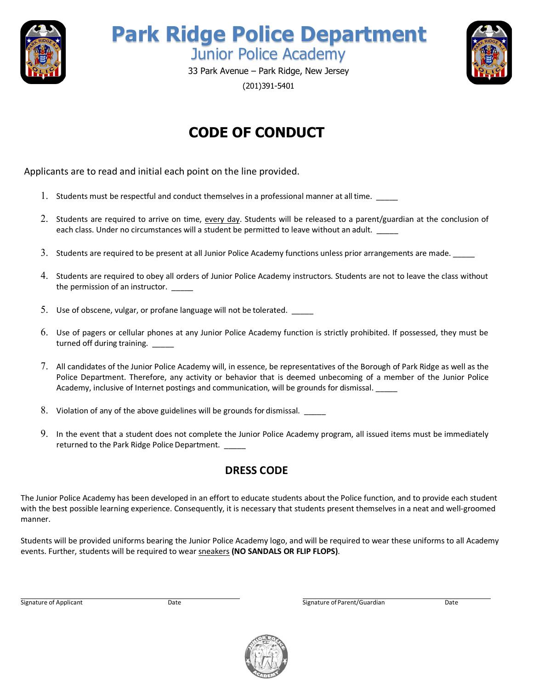

**Park Ridge Police Department** Junior Police Academy



33 Park Avenue – Park Ridge, New Jersey (201)391-5401

# **CODE OF CONDUCT**

Applicants are to read and initial each point on the line provided.

- 1. Students must be respectful and conduct themselves in a professional manner at all time.
- 2. Students are required to arrive on time, every day. Students will be released to a parent/guardian at the conclusion of each class. Under no circumstances will a student be permitted to leave without an adult.
- 3. Students are required to be present at all Junior Police Academy functions unless prior arrangements are made. \_\_\_\_
- 4. Students are required to obey all orders of Junior Police Academy instructors. Students are not to leave the class without the permission of an instructor. \_\_\_\_\_
- 5. Use of obscene, vulgar, or profane language will not be tolerated. \_\_\_\_\_
- 6. Use of pagers or cellular phones at any Junior Police Academy function is strictly prohibited. If possessed, they must be turned off during training. \_\_\_\_\_
- 7. All candidates of the Junior Police Academy will, in essence, be representatives of the Borough of Park Ridge as well as the Police Department. Therefore, any activity or behavior that is deemed unbecoming of a member of the Junior Police Academy, inclusive of Internet postings and communication, will be grounds for dismissal. \_\_\_\_\_
- 8. Violation of any of the above guidelines will be grounds for dismissal. \_\_\_\_\_
- 9. In the event that a student does not complete the Junior Police Academy program, all issued items must be immediately returned to the Park Ridge Police Department. \_\_\_\_\_

### **DRESS CODE**

The Junior Police Academy has been developed in an effort to educate students about the Police function, and to provide each student with the best possible learning experience. Consequently, it is necessary that students present themselves in a neat and well-groomed manner.

Students will be provided uniforms bearing the Junior Police Academy logo, and will be required to wear these uniforms to all Academy events. Further, students will be required to wear sneakers **(NO SANDALS OR FLIP FLOPS)**.

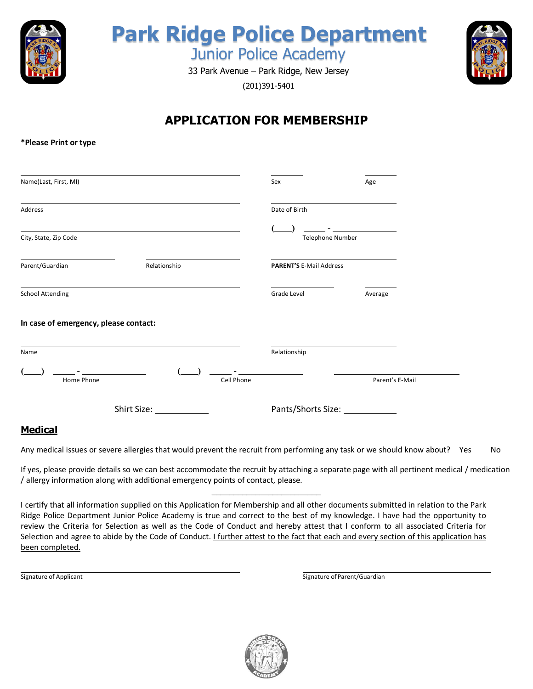

# **Park Ridge Police Department** Junior Police Academy

33 Park Avenue – Park Ridge, New Jersey (201)391-5401



## **APPLICATION FOR MEMBERSHIP**

#### **\*Please Print or type**

| Name(Last, First, MI)                 |                                                                                                                                                                                                                               |            | Sex                            | Age                             |
|---------------------------------------|-------------------------------------------------------------------------------------------------------------------------------------------------------------------------------------------------------------------------------|------------|--------------------------------|---------------------------------|
| Address                               | and the control of the control of the control of the control of the control of the control of the control of the                                                                                                              |            | Date of Birth                  |                                 |
| City, State, Zip Code                 | <u> 1989 - Johann Barnett, fransk politiker (d. 1989)</u>                                                                                                                                                                     |            | <b>Telephone Number</b>        | <u> 1999 - Jan Alexandria (</u> |
| Parent/Guardian                       | Relationship                                                                                                                                                                                                                  |            | <b>PARENT'S E-Mail Address</b> |                                 |
| <b>School Attending</b>               | the control of the control of the control of the control of the control of the control of the control of the control of the control of the control of the control of the control of the control of the control of the control |            | Grade Level                    | Average                         |
| In case of emergency, please contact: |                                                                                                                                                                                                                               |            |                                |                                 |
| Name                                  |                                                                                                                                                                                                                               |            | Relationship                   |                                 |
| Home Phone                            |                                                                                                                                                                                                                               | Cell Phone |                                | Parent's E-Mail                 |
| Shirt Size:                           |                                                                                                                                                                                                                               |            | Pants/Shorts Size: 1986        |                                 |
| Madical                               |                                                                                                                                                                                                                               |            |                                |                                 |

#### **Medical**

Any medical issues or severe allergies that would prevent the recruit from performing any task or we should know about? Yes No

If yes, please provide details so we can best accommodate the recruit by attaching a separate page with all pertinent medical / medication / allergy information along with additional emergency points of contact, please. **\_\_\_\_\_\_\_\_\_\_\_\_\_\_\_\_\_\_\_\_\_\_\_\_\_** 

I certify that all information supplied on this Application for Membership and all other documents submitted in relation to the Park Ridge Police Department Junior Police Academy is true and correct to the best of my knowledge. I have had the opportunity to review the Criteria for Selection as well as the Code of Conduct and hereby attest that I conform to all associated Criteria for Selection and agree to abide by the Code of Conduct. I further attest to the fact that each and every section of this application has been completed.

Signature of Applicant Signature of Parent/Guardian Signature of Parent/Guardian